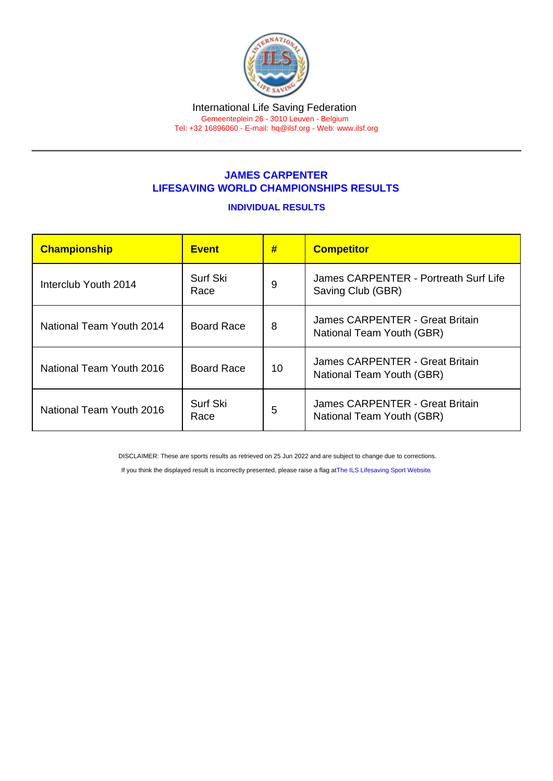## JAMES CARPENTER LIFESAVING WORLD CHAMPIONSHIPS RESULTS

## INDIVIDUAL RESULTS

| Championship             | <b>Event</b>      | #  | <b>Competitor</b>                                            |
|--------------------------|-------------------|----|--------------------------------------------------------------|
| Interclub Youth 2014     | Surf Ski<br>Race  | 9  | James CARPENTER - Portreath Surf Life<br>Saving Club (GBR)   |
| National Team Youth 2014 | <b>Board Race</b> | 8  | James CARPENTER - Great Britain<br>National Team Youth (GBR) |
| National Team Youth 2016 | <b>Board Race</b> | 10 | James CARPENTER - Great Britain<br>National Team Youth (GBR) |
| National Team Youth 2016 | Surf Ski<br>Race  | 5  | James CARPENTER - Great Britain<br>National Team Youth (GBR) |

DISCLAIMER: These are sports results as retrieved on 25 Jun 2022 and are subject to change due to corrections.

If you think the displayed result is incorrectly presented, please raise a flag at [The ILS Lifesaving Sport Website.](https://sport.ilsf.org)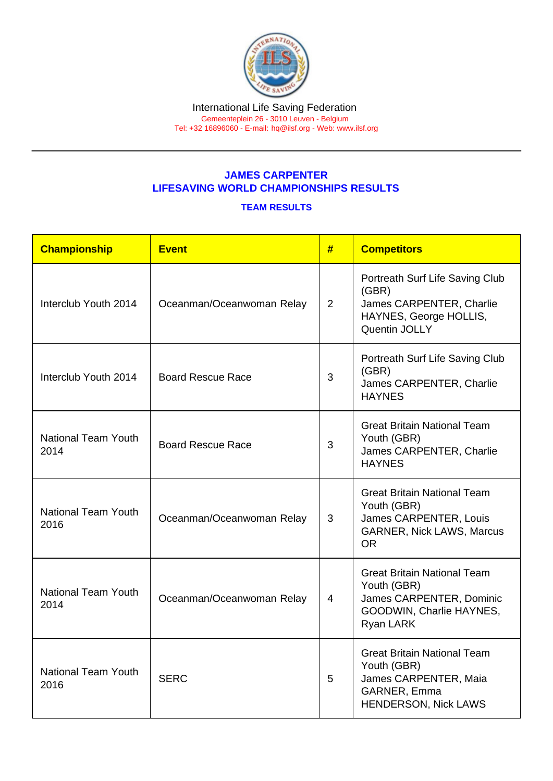## JAMES CARPENTER LIFESAVING WORLD CHAMPIONSHIPS RESULTS

## TEAM RESULTS

| Championship                                                    | <b>Event</b>              | #              | <b>Competitors</b>                                                                                                           |
|-----------------------------------------------------------------|---------------------------|----------------|------------------------------------------------------------------------------------------------------------------------------|
| Interclub Youth 2014                                            | Oceanman/Oceanwoman Relay | $\overline{2}$ | Portreath Surf Life Saving Club<br>(GBR)<br>James CARPENTER, Charlie<br>HAYNES, George HOLLIS,<br>Quentin JOLLY              |
| Interclub Youth 2014                                            | <b>Board Rescue Race</b>  | 3              | Portreath Surf Life Saving Club<br>(GBR)<br>James CARPENTER, Charlie<br><b>HAYNES</b>                                        |
| <b>National Team Youth</b><br>2014                              | <b>Board Rescue Race</b>  | 3              | <b>Great Britain National Team</b><br>Youth (GBR)<br>James CARPENTER, Charlie<br><b>HAYNES</b>                               |
| <b>National Team Youth</b><br>2016                              | Oceanman/Oceanwoman Relay | 3              | <b>Great Britain National Team</b><br>Youth (GBR)<br>James CARPENTER, Louis<br><b>GARNER, Nick LAWS, Marcus</b><br><b>OR</b> |
| <b>National Team Youth</b><br>Oceanman/Oceanwoman Relay<br>2014 |                           | $\overline{4}$ | <b>Great Britain National Team</b><br>Youth (GBR)<br>James CARPENTER, Dominic<br>GOODWIN, Charlie HAYNES,<br>Ryan LARK       |
| <b>National Team Youth</b><br>2016                              | <b>SERC</b>               |                | <b>Great Britain National Team</b><br>Youth (GBR)<br>James CARPENTER, Maia<br>GARNER, Emma<br>HENDERSON, Nick LAWS           |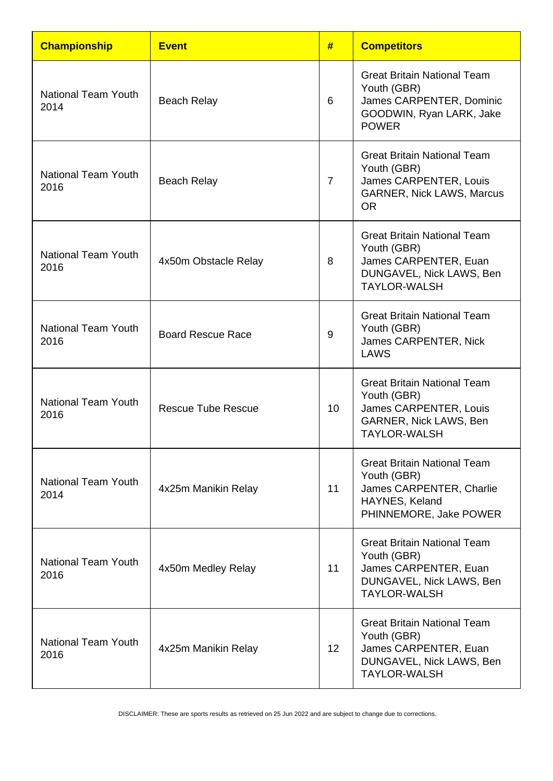| <b>Championship</b>                | <b>Event</b>             | #              | <b>Competitors</b>                                                                                                            |
|------------------------------------|--------------------------|----------------|-------------------------------------------------------------------------------------------------------------------------------|
| National Team Youth<br>2014        | <b>Beach Relay</b>       | 6              | <b>Great Britain National Team</b><br>Youth (GBR)<br>James CARPENTER, Dominic<br>GOODWIN, Ryan LARK, Jake<br><b>POWER</b>     |
| <b>National Team Youth</b><br>2016 | <b>Beach Relay</b>       | $\overline{7}$ | <b>Great Britain National Team</b><br>Youth (GBR)<br>James CARPENTER, Louis<br><b>GARNER, Nick LAWS, Marcus</b><br><b>OR</b>  |
| <b>National Team Youth</b><br>2016 | 4x50m Obstacle Relay     | 8              | <b>Great Britain National Team</b><br>Youth (GBR)<br>James CARPENTER, Euan<br>DUNGAVEL, Nick LAWS, Ben<br><b>TAYLOR-WALSH</b> |
| <b>National Team Youth</b><br>2016 | <b>Board Rescue Race</b> | 9              | <b>Great Britain National Team</b><br>Youth (GBR)<br>James CARPENTER, Nick<br>LAWS                                            |
| <b>National Team Youth</b><br>2016 | Rescue Tube Rescue       | 10             | <b>Great Britain National Team</b><br>Youth (GBR)<br>James CARPENTER, Louis<br>GARNER, Nick LAWS, Ben<br><b>TAYLOR-WALSH</b>  |
| <b>National Team Youth</b><br>2014 | 4x25m Manikin Relay      | 11             | <b>Great Britain National Team</b><br>Youth (GBR)<br>James CARPENTER, Charlie<br>HAYNES, Keland<br>PHINNEMORE, Jake POWER     |
| <b>National Team Youth</b><br>2016 | 4x50m Medley Relay       | 11             | <b>Great Britain National Team</b><br>Youth (GBR)<br>James CARPENTER, Euan<br>DUNGAVEL, Nick LAWS, Ben<br><b>TAYLOR-WALSH</b> |
| <b>National Team Youth</b><br>2016 | 4x25m Manikin Relay      | 12             | <b>Great Britain National Team</b><br>Youth (GBR)<br>James CARPENTER, Euan<br>DUNGAVEL, Nick LAWS, Ben<br><b>TAYLOR-WALSH</b> |